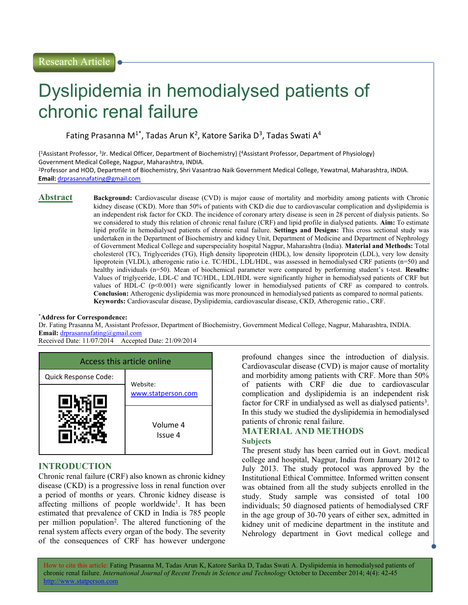# Dyslipidemia in hemodialysed patients of chronic renal failure

Fating Prasanna M<sup>1\*</sup>, Tadas Arun K<sup>2</sup>, Katore Sarika D<sup>3</sup>, Tadas Swati A<sup>4</sup>

{ <sup>1</sup>Assistant Professor, <sup>3</sup> Jr. Medical Officer, Department of Biochemistry} {<sup>4</sup>Assistant Professor, Department of Physiology} Government Medical College, Nagpur, Maharashtra, INDIA. <sup>2</sup>Professor and HOD, Department of Biochemistry, Shri Vasantrao Naik Government Medical College, Yewatmal, Maharashtra, INDIA.

Email: drprasannafating@gmail.com

Abstract Background: Cardiovascular disease (CVD) is major cause of mortality and morbidity among patients with Chronic kidney disease (CKD). More than 50% of patients with CKD die due to cardiovascular complication and dyslipidemia is an independent risk factor for CKD. The incidence of coronary artery disease is seen in 28 percent of dialysis patients. So we considered to study this relation of chronic renal failure (CRF) and lipid profile in dialysed patients. Aim: To estimate lipid profile in hemodialysed patients of chronic renal failure. Settings and Designs: This cross sectional study was undertaken in the Department of Biochemistry and kidney Unit, Department of Medicine and Department of Nephrology of Government Medical College and superspeciality hospital Nagpur, Maharashtra (India). Material and Methods: Total cholesterol (TC), Triglycerides (TG), High density lipoprotein (HDL), low density lipoprotein (LDL), very low density lipoprotein (VLDL), atherogenic ratio i.e. TC/HDL, LDL/HDL, was assessed in hemodialysed CRF patients (n=50) and healthy individuals (n=50). Mean of biochemical parameter were compared by performing student's t-test. Results: Values of triglyceride, LDL-C and TC/HDL, LDL/HDL were significantly higher in hemodialysed patients of CRF but values of HDL-C  $(p<0.001)$  were significantly lower in hemodialysed patients of CRF as compared to controls. Conclusion: Atherogenic dyslipidemia was more pronounced in hemodialysed patients as compared to normal patients. Keywords: Cardiovascular disease, Dyslipidemia, cardiovascular disease, CKD, Atherogenic ratio., CRF.

#### \*Address for Correspondence:

Dr. Fating Prasanna M, Assistant Professor, Department of Biochemistry, Government Medical College, Nagpur, Maharashtra, INDIA. Email: drprasannafating@gmail.com

Received Date: 11/07/2014 Accepted Date: 21/09/2014



## INTRODUCTION

Chronic renal failure (CRF) also known as chronic kidney disease (CKD) is a progressive loss in renal function over a period of months or years. Chronic kidney disease is affecting millions of people worldwide<sup>1</sup>. It has been estimated that prevalence of CKD in India is 785 people per million population<sup>2</sup>. The altered functioning of the renal system affects every organ of the body. The severity of the consequences of CRF has however undergone

profound changes since the introduction of dialysis. Cardiovascular disease (CVD) is major cause of mortality and morbidity among patients with CRF. More than 50% of patients with CRF die due to cardiovascular complication and dyslipidemia is an independent risk factor for CRF in undialysed as well as dialysed patients<sup>3</sup>. In this study we studied the dyslipidemia in hemodialysed patients of chronic renal failure.

### MATERIAL AND METHODS Subjects

The present study has been carried out in Govt. medical college and hospital, Nagpur, India from January 2012 to July 2013. The study protocol was approved by the Institutional Ethical Committee. Informed written consent was obtained from all the study subjects enrolled in the study. Study sample was consisted of total 100 individuals; 50 diagnosed patients of hemodialysed CRF in the age group of 30‐70 years of either sex, admitted in kidney unit of medicine department in the institute and Nehrology department in Govt medical college and

How to cite this article: Fating Prasanna M, Tadas Arun K, Katore Sarika D, Tadas Swati A. Dyslipidemia in hemodialysed patients of chronic renal failure. International Journal of Recent Trends in Science and Technology October to December 2014; 4(4): 42-45 http://www.statperson.com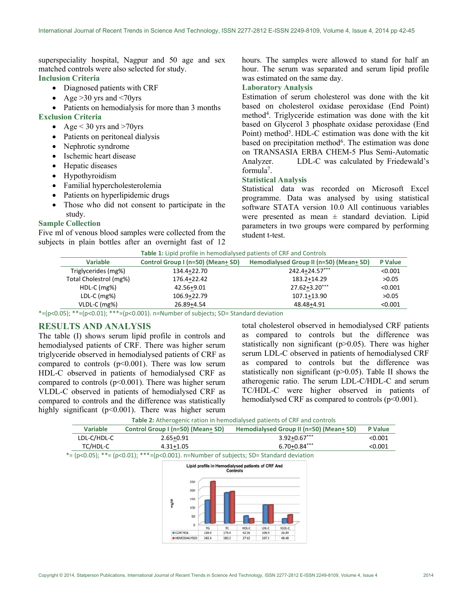superspeciality hospital, Nagpur and 50 age and sex matched controls were also selected for study. Inclusion Criteria

- Diagnosed patients with CRF
- Age  $>30$  yrs and  $<70$ yrs
- Patients on hemodialysis for more than 3 months
- Exclusion Criteria
	- Age  $<$  30 yrs and  $>70$ yrs
	- Patients on peritoneal dialysis
	- Nephrotic syndrome
	- Ischemic heart disease
	- Hepatic diseases
	- Hypothyroidism
	- Familial hypercholesterolemia
	- Patients on hyperlipidemic drugs
	- Those who did not consent to participate in the study.

#### Sample Collection

Five ml of venous blood samples were collected from the subjects in plain bottles after an overnight fast of 12

hours. The samples were allowed to stand for half an hour. The serum was separated and serum lipid profile was estimated on the same day.

### Laboratory Analysis

Estimation of serum cholesterol was done with the kit based on cholesterol oxidase peroxidase (End Point) method<sup>4</sup> . Triglyceride estimation was done with the kit based on Glycerol 3 phosphate oxidase peroxidase (End Point) method<sup>5</sup>. HDL-C estimation was done with the kit based on precipitation method<sup>6</sup>. The estimation was done on TRANSASIA ERBA CHEM‐5 Plus Semi‐Automatic Analyzer. LDL-C was calculated by Friedewald's formula<sup>7</sup>.

#### Statistical Analysis

Statistical data was recorded on Microsoft Excel programme. Data was analysed by using statistical software STATA version 10.0 All continuous variables were presented as mean  $\pm$  standard deviation. Lipid parameters in two groups were compared by performing student t-test.

| Table 1: Lipid profile in hemodialysed patients of CRF and Controls |                                                                                                                                                                                                                                                                                                                                                                                                                                                                                                                            |                                         |                |  |
|---------------------------------------------------------------------|----------------------------------------------------------------------------------------------------------------------------------------------------------------------------------------------------------------------------------------------------------------------------------------------------------------------------------------------------------------------------------------------------------------------------------------------------------------------------------------------------------------------------|-----------------------------------------|----------------|--|
| <b>Variable</b>                                                     | Control Group I (n=50) (Mean+ SD)                                                                                                                                                                                                                                                                                                                                                                                                                                                                                          | Hemodialysed Group II (n=50) (Mean+ SD) | <b>P</b> Value |  |
| Triglycerides (mg%)                                                 | 134.4+22.70                                                                                                                                                                                                                                                                                                                                                                                                                                                                                                                | 242.4+24.57***                          | < 0.001        |  |
| Total Cholestrol (mg%)                                              | 176.4+22.42                                                                                                                                                                                                                                                                                                                                                                                                                                                                                                                | 183.2+14.29                             | >0.05          |  |
| $HDL-C$ (mg%)                                                       | 42.56+9.01                                                                                                                                                                                                                                                                                                                                                                                                                                                                                                                 | $27.62 + 3.20***$                       | < 0.001        |  |
| $LDL-C$ (mg%)                                                       | 106.9+22.79                                                                                                                                                                                                                                                                                                                                                                                                                                                                                                                | 107.1+13.90                             | >0.05          |  |
| VLDL-C (mg%)                                                        | 26.89+4.54                                                                                                                                                                                                                                                                                                                                                                                                                                                                                                                 | 48.48+4.91                              | < 0.001        |  |
|                                                                     | $\alpha=1$ $\Rightarrow$ $\beta$ $\rightarrow$ $\alpha$ $\rightarrow$ $\alpha$ $\rightarrow$ $\alpha$ $\rightarrow$ $\alpha$ $\rightarrow$ $\alpha$ $\rightarrow$ $\alpha$ $\rightarrow$ $\alpha$ $\rightarrow$ $\alpha$ $\rightarrow$ $\alpha$ $\rightarrow$ $\alpha$ $\rightarrow$ $\alpha$ $\rightarrow$ $\alpha$ $\rightarrow$ $\alpha$ $\rightarrow$ $\alpha$ $\rightarrow$ $\alpha$ $\rightarrow$ $\alpha$ $\rightarrow$ $\alpha$ $\rightarrow$ $\alpha$ $\rightarrow$ $\alpha$ $\rightarrow$ $\alpha$ $\rightarrow$ |                                         |                |  |

 $*=(p<0.05);$   $**=(p<0.01);$   $***=(p<0.001).$  n=Number of subjects; SD= Standard deviation

#### RESULTS AND ANALYSIS

The table (I) shows serum lipid profile in controls and hemodialysed patients of CRF. There was higher serum triglyceride observed in hemodialysed patients of CRF as compared to controls  $(p<0.001)$ . There was low serum HDL-C observed in patients of hemodialysed CRF as compared to controls  $(p<0.001)$ . There was higher serum VLDL-C observed in patients of hemodialysed CRF as compared to controls and the difference was statistically highly significant (p<0.001). There was higher serum total cholesterol observed in hemodialysed CRF patients as compared to controls but the difference was statistically non significant (p>0.05). There was higher serum LDL-C observed in patients of hemodialysed CRF as compared to controls but the difference was statistically non significant (p>0.05). Table II shows the atherogenic ratio. The serum LDL-C/HDL-C and serum TC/HDL-C were higher observed in patients of hemodialysed CRF as compared to controls (p<0.001).

Table 2: Atherogenic ration in hemodialysed patients of CRF and controls

| <b>Variable</b> | Control Group I (n=50) (Mean+ SD) | Hemodialysed Group II (n=50) (Mean+ SD) | <b>P</b> Value |
|-----------------|-----------------------------------|-----------------------------------------|----------------|
| LDL-C/HDL-C     | $2.65 + 0.91$                     | $3.92 + 0.67***$                        | < 0.001        |
| TC/HDL-C        | $4.31 + 1.05$                     | $6.70 + 0.84***$                        | < 0.001        |

\*= (p<0.05); \*\*= (p<0.01); \*\*\*=(p<0.001). n=Number of subjects; SD= Standard deviation

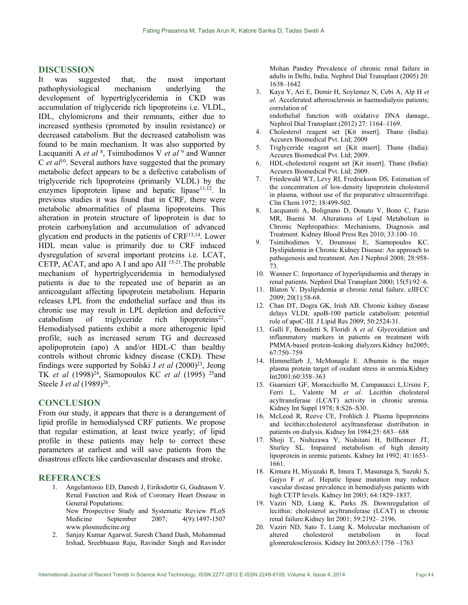#### DISCUSSION

It was suggested that, the most important pathophysiological mechanism underlying the development of hypertriglyceridemia in CKD was accumulation of triglyceride rich lipoproteins i.e. VLDL, IDL, chylomicrons and their remnants, either due to increased synthesis (promoted by insulin resistance) or decreased catabolism. But the decreased catabolism was found to be main mechanism. It was also supported by Lacquaniti A *et al*  $\frac{8}{5}$ , Tsimihodimos V *et al*  $\frac{9}{5}$  and Wanner C et  $al^{10}$ . Several authors have suggested that the primary metabolic defect appears to be a defective catabolism of triglyceride rich lipoproteins (primarily VLDL) by the enzymes lipoprotein lipase and hepatic lipase $11,12$ . In previous studies it was found that in CRF, there were metabolic abnormalities of plasma lipoproteins. This alteration in protein structure of lipoprotein is due to protein carbonylation and accumulation of advanced glycation end products in the patients of CRF13,14. Lower HDL mean value is primarily due to CRF induced dysregulation of several important proteins i.e. LCAT, CETP, ACAT, and apo A I and apo AII 15-21.The probable mechanism of hypertriglyceridemia in hemodialysed patients is due to the repeated use of heparin as an anticoagulant affecting lipoprotein metabolism. Heparin releases LPL from the endothelial surface and thus its chronic use may result in LPL depletion and defective  $catabolism$  of triglyceride rich lipoproteins<sup>22</sup>. Hemodialysed patients exhibit a more atherogenic lipid profile, such as increased serum TG and decreased apolipoprotein (apo) A and/or HDL-C than healthy controls without chronic kidney disease (CKD). These findings were supported by Solski J et al  $(2000)^{23}$ , Jeong TK et al  $(1998)^{24}$ , Siamopoulos KC et al  $(1995)^{25}$ and Steele J *et al* (1989)<sup>26</sup>.

#### CONCLUSION

From our study, it appears that there is a derangement of lipid profile in hemodialysed CRF patients. We propose that regular estimation, at least twice yearly; of lipid profile in these patients may help to correct these parameters at earliest and will save patients from the disastrous effects like cardiovascular diseases and stroke.

#### REFERANCES

- 1. Angelantonio ED, Danesh J, Eiriksdottir G, Gudnason V. Renal Function and Risk of Coronary Heart Disease in General Populations: New Prospective Study and Systematic Review PLoS Medicine September 2007; 4(9):1497-1507 www.plosmedicine.org
- 2. Sanjay Kumar Agarwal, Suresh Chand Dash, Mohammad Irshad, Sreebhuasn Raju, Ravinder Singh and Ravinder

Mohan Pandey Prevalence of chronic renal failure in adults in Delhi, India. Nephrol Dial Transplant (2005) 20: 1638–1642

- 3. Kaya Y, Ari E, Demir H, Soylemez N, Cebi A, Alp H et al. Accelerated atherosclerosis in haemodialysis patients; correlation of endothelial function with oxidative DNA damage, Nephrol Dial Transplant (2012) 27: 1164–1169.
- 4. Cholesterol reagent set [Kit insert]. Thane (India): Accurex Biomedical Pvt. Ltd; 2009
- 5. Triglyceride reagent set [Kit insert]. Thane (India): Accurex Biomedical Pvt. Ltd; 2009.
- 6. HDL-cholesterol reagent set [Kit insert]. Thane (India): Accurex Biomedical Pvt. Ltd; 2009.
- 7. Friedewald WT, Levy RI, Fredrickson DS. Estimation of the concentration of low-density lipoprotein cholesterol in plasma, without use of the preparative ultracentrifuge. Clin Chem 1972; 18:499-502.
- 8. Lacquaniti A, Bolignano D, Donato V, Bono C, Fazio MR, Buemi M. Alterations of Lipid Metabolism in Chronic Nephropathies: Mechanisms, Diagnosis and Treatment. Kidney Blood Press Res 2010; 33:100–10.
- 9. Tsimihodimos V, Dounousi E, Siamopoulos KC. Dyslipidemia in Chronic Kidney Disease: An approach to pathogenesis and treatment. Am J Nephrol 2008; 28:958- 73.
- 10. Wanner C. Importance of hyperlipidaemia and therapy in renal patients. Nephrol Dial Transplant 2000; 15(5):92–6.
- 11. Blaton V. Dyslipidemia at chronic renal failure. eJIFCC 2009; 20(1):58-68.
- 12. Chan DT, Dogra GK, Irish AB. Chronic kidney disease delays VLDL apoB-100 particle catabolism: potential role of apoC-III. J Lipid Res 2009; 50:2524-31.
- 13. Galli F, Benedetti S, Floridi A et al. Glycoxidation and inflammatory markers in patients on treatment with PMMA-based protein-leaking dialyzers.Kidney Int2005; 67:750–759
- 14. Himmelfarb J, McMonagle E. Albumin is the major plasma protein target of oxidant stress in uremia.Kidney Int2001;60:358–363
- 15. Guarnieri GF, Moracchiello M, Campanacci L,Ursini F, Ferri L, Valente M et al. Lecithin cholesterol acyltransferase (LCAT) activity in chronic uremia. Kidney Int Suppl 1978; 8:S26–S30.
- 16. McLeod R, Reeve CE, Frohlich J. Plasma lipoproteins and lecithin:cholesterol acyltransferase distribution in patients on dialysis. Kidney Int 1984;25: 683– 688
- 17. Shoji T, Nishizawa Y, Nishitani H, Billheimer JT, Sturley SL. Impaired metabolism of high density lipoprotein in uremic patients. Kidney Int 1992; 41:1653– 1661.
- 18. Kimura H, Miyazaki R, Imura T, Masunaga S, Suzuki S, Gejyo F et al. Hepatic lipase mutation may reduce vascular disease prevalence in hemodialysis patients with high CETP levels. Kidney Int 2003; 64:1829–1837.
- 19. Vaziri ND, Liang K, Parks JS. Downregulation of lecithin: cholesterol acyltransferase (LCAT) in chronic renal failure.Kidney Int 2001; 59:2192– 2196.
- 20. Vaziri ND, Sato T, Liang K. Molecular mechanism of altered cholesterol metabolism in focal glomerulosclerosis. Kidney Int 2003;63:1756 –1763